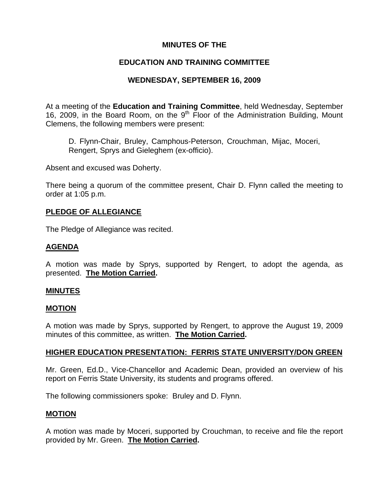## **MINUTES OF THE**

## **EDUCATION AND TRAINING COMMITTEE**

## **WEDNESDAY, SEPTEMBER 16, 2009**

At a meeting of the **Education and Training Committee**, held Wednesday, September 16, 2009, in the Board Room, on the 9<sup>th</sup> Floor of the Administration Building, Mount Clemens, the following members were present:

D. Flynn-Chair, Bruley, Camphous-Peterson, Crouchman, Mijac, Moceri, Rengert, Sprys and Gieleghem (ex-officio).

Absent and excused was Doherty.

There being a quorum of the committee present, Chair D. Flynn called the meeting to order at 1:05 p.m.

### **PLEDGE OF ALLEGIANCE**

The Pledge of Allegiance was recited.

### **AGENDA**

A motion was made by Sprys, supported by Rengert, to adopt the agenda, as presented. **The Motion Carried.** 

#### **MINUTES**

#### **MOTION**

A motion was made by Sprys, supported by Rengert, to approve the August 19, 2009 minutes of this committee, as written. **The Motion Carried.** 

### **HIGHER EDUCATION PRESENTATION: FERRIS STATE UNIVERSITY/DON GREEN**

Mr. Green, Ed.D., Vice-Chancellor and Academic Dean, provided an overview of his report on Ferris State University, its students and programs offered.

The following commissioners spoke: Bruley and D. Flynn.

#### **MOTION**

A motion was made by Moceri, supported by Crouchman, to receive and file the report provided by Mr. Green. **The Motion Carried.**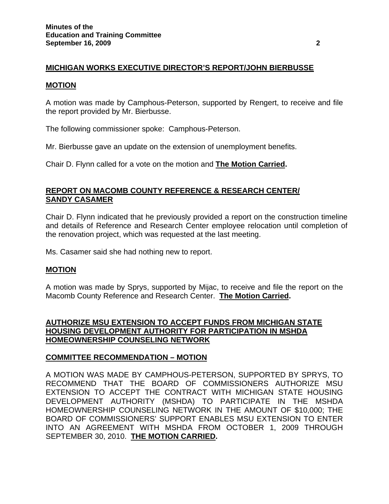## **MICHIGAN WORKS EXECUTIVE DIRECTOR'S REPORT/JOHN BIERBUSSE**

#### **MOTION**

A motion was made by Camphous-Peterson, supported by Rengert, to receive and file the report provided by Mr. Bierbusse.

The following commissioner spoke: Camphous-Peterson.

Mr. Bierbusse gave an update on the extension of unemployment benefits.

Chair D. Flynn called for a vote on the motion and **The Motion Carried.** 

### **REPORT ON MACOMB COUNTY REFERENCE & RESEARCH CENTER/ SANDY CASAMER**

Chair D. Flynn indicated that he previously provided a report on the construction timeline and details of Reference and Research Center employee relocation until completion of the renovation project, which was requested at the last meeting.

Ms. Casamer said she had nothing new to report.

#### **MOTION**

A motion was made by Sprys, supported by Mijac, to receive and file the report on the Macomb County Reference and Research Center. **The Motion Carried.** 

### **AUTHORIZE MSU EXTENSION TO ACCEPT FUNDS FROM MICHIGAN STATE HOUSING DEVELOPMENT AUTHORITY FOR PARTICIPATION IN MSHDA HOMEOWNERSHIP COUNSELING NETWORK**

### **COMMITTEE RECOMMENDATION – MOTION**

A MOTION WAS MADE BY CAMPHOUS-PETERSON, SUPPORTED BY SPRYS, TO RECOMMEND THAT THE BOARD OF COMMISSIONERS AUTHORIZE MSU EXTENSION TO ACCEPT THE CONTRACT WITH MICHIGAN STATE HOUSING DEVELOPMENT AUTHORITY (MSHDA) TO PARTICIPATE IN THE MSHDA HOMEOWNERSHIP COUNSELING NETWORK IN THE AMOUNT OF \$10,000; THE BOARD OF COMMISSIONERS' SUPPORT ENABLES MSU EXTENSION TO ENTER INTO AN AGREEMENT WITH MSHDA FROM OCTOBER 1, 2009 THROUGH SEPTEMBER 30, 2010. **THE MOTION CARRIED.**